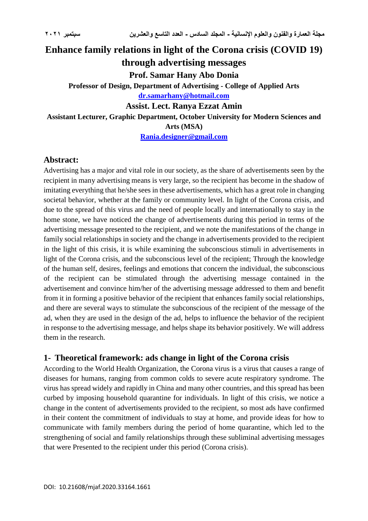# **Enhance family relations in light of the Corona crisis (COVID 19) through advertising messages Prof. Samar Hany Abo Donia Professor of Design, Department of Advertising - College of Applied Arts [dr.samarhany@hotmail.com](mailto:dr.samarhany@hotmail.com) Assist. Lect. Ranya Ezzat Amin Assistant Lecturer, Graphic Department, October University for Modern Sciences and Arts (MSA) [Rania.designer@gmail.com](mailto:Rania.designer@gmail.com)**

## **Abstract:**

Advertising has a major and vital role in our society, as the share of advertisements seen by the recipient in many advertising means is very large, so the recipient has become in the shadow of imitating everything that he/she sees in these advertisements, which has a great role in changing societal behavior, whether at the family or community level. In light of the Corona crisis, and due to the spread of this virus and the need of people locally and internationally to stay in the home stone, we have noticed the change of advertisements during this period in terms of the advertising message presented to the recipient, and we note the manifestations of the change in family social relationships in society and the change in advertisements provided to the recipient in the light of this crisis, it is while examining the subconscious stimuli in advertisements in light of the Corona crisis, and the subconscious level of the recipient; Through the knowledge of the human self, desires, feelings and emotions that concern the individual, the subconscious of the recipient can be stimulated through the advertising message contained in the advertisement and convince him/her of the advertising message addressed to them and benefit from it in forming a positive behavior of the recipient that enhances family social relationships, and there are several ways to stimulate the subconscious of the recipient of the message of the ad, when they are used in the design of the ad, helps to influence the behavior of the recipient in response to the advertising message, and helps shape its behavior positively. We will address them in the research.

#### **1- Theoretical framework: ads change in light of the Corona crisis**

According to the World Health Organization, the Corona virus is a virus that causes a range of diseases for humans, ranging from common colds to severe acute respiratory syndrome. The virus has spread widely and rapidly in China and many other countries, and this spread has been curbed by imposing household quarantine for individuals. In light of this crisis, we notice a change in the content of advertisements provided to the recipient, so most ads have confirmed in their content the commitment of individuals to stay at home, and provide ideas for how to communicate with family members during the period of home quarantine, which led to the strengthening of social and family relationships through these subliminal advertising messages that were Presented to the recipient under this period (Corona crisis).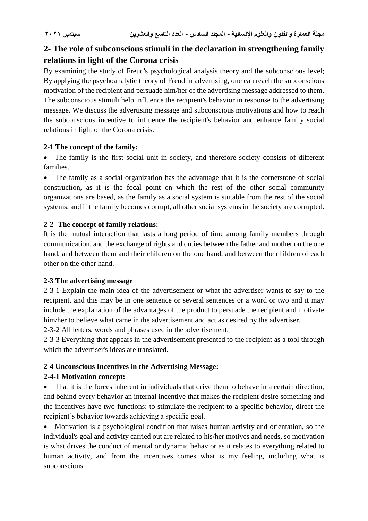# **2- The role of subconscious stimuli in the declaration in strengthening family relations in light of the Corona crisis**

By examining the study of Freud's psychological analysis theory and the subconscious level; By applying the psychoanalytic theory of Freud in advertising, one can reach the subconscious motivation of the recipient and persuade him/her of the advertising message addressed to them. The subconscious stimuli help influence the recipient's behavior in response to the advertising message. We discuss the advertising message and subconscious motivations and how to reach the subconscious incentive to influence the recipient's behavior and enhance family social relations in light of the Corona crisis.

#### **2-1 The concept of the family:**

 The family is the first social unit in society, and therefore society consists of different families.

 The family as a social organization has the advantage that it is the cornerstone of social construction, as it is the focal point on which the rest of the other social community organizations are based, as the family as a social system is suitable from the rest of the social systems, and if the family becomes corrupt, all other social systems in the society are corrupted.

## **2-2- The concept of family relations:**

It is the mutual interaction that lasts a long period of time among family members through communication, and the exchange of rights and duties between the father and mother on the one hand, and between them and their children on the one hand, and between the children of each other on the other hand.

## **2-3 The advertising message**

2-3-1 Explain the main idea of the advertisement or what the advertiser wants to say to the recipient, and this may be in one sentence or several sentences or a word or two and it may include the explanation of the advantages of the product to persuade the recipient and motivate him/her to believe what came in the advertisement and act as desired by the advertiser.

2-3-2 All letters, words and phrases used in the advertisement.

2-3-3 Everything that appears in the advertisement presented to the recipient as a tool through which the advertiser's ideas are translated.

## **2-4 Unconscious Incentives in the Advertising Message:**

## **2-4-1 Motivation concept:**

• That it is the forces inherent in individuals that drive them to behave in a certain direction, and behind every behavior an internal incentive that makes the recipient desire something and the incentives have two functions: to stimulate the recipient to a specific behavior, direct the recipient's behavior towards achieving a specific goal.

 Motivation is a psychological condition that raises human activity and orientation, so the individual's goal and activity carried out are related to his/her motives and needs, so motivation is what drives the conduct of mental or dynamic behavior as it relates to everything related to human activity, and from the incentives comes what is my feeling, including what is subconscious.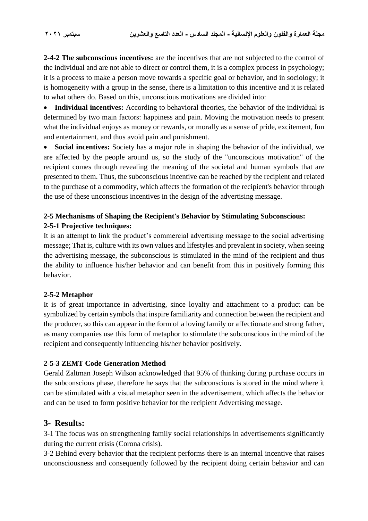**2-4-2 The subconscious incentives:** are the incentives that are not subjected to the control of the individual and are not able to direct or control them, it is a complex process in psychology; it is a process to make a person move towards a specific goal or behavior, and in sociology; it is homogeneity with a group in the sense, there is a limitation to this incentive and it is related to what others do. Based on this, unconscious motivations are divided into:

 **Individual incentives:** According to behavioral theories, the behavior of the individual is determined by two main factors: happiness and pain. Moving the motivation needs to present what the individual enjoys as money or rewards, or morally as a sense of pride, excitement, fun and entertainment, and thus avoid pain and punishment.

 **Social incentives:** Society has a major role in shaping the behavior of the individual, we are affected by the people around us, so the study of the "unconscious motivation" of the recipient comes through revealing the meaning of the societal and human symbols that are presented to them. Thus, the subconscious incentive can be reached by the recipient and related to the purchase of a commodity, which affects the formation of the recipient's behavior through the use of these unconscious incentives in the design of the advertising message.

## **2-5 Mechanisms of Shaping the Recipient's Behavior by Stimulating Subconscious: 2-5-1 Projective techniques:**

It is an attempt to link the product's commercial advertising message to the social advertising message; That is, culture with its own values and lifestyles and prevalent in society, when seeing the advertising message, the subconscious is stimulated in the mind of the recipient and thus the ability to influence his/her behavior and can benefit from this in positively forming this behavior.

#### **2-5-2 Metaphor**

It is of great importance in advertising, since loyalty and attachment to a product can be symbolized by certain symbols that inspire familiarity and connection between the recipient and the producer, so this can appear in the form of a loving family or affectionate and strong father, as many companies use this form of metaphor to stimulate the subconscious in the mind of the recipient and consequently influencing his/her behavior positively.

#### **2-5-3 ZEMT Code Generation Method**

Gerald Zaltman Joseph Wilson acknowledged that 95% of thinking during purchase occurs in the subconscious phase, therefore he says that the subconscious is stored in the mind where it can be stimulated with a visual metaphor seen in the advertisement, which affects the behavior and can be used to form positive behavior for the recipient Advertising message.

#### **3- Results:**

3-1 The focus was on strengthening family social relationships in advertisements significantly during the current crisis (Corona crisis).

3-2 Behind every behavior that the recipient performs there is an internal incentive that raises unconsciousness and consequently followed by the recipient doing certain behavior and can